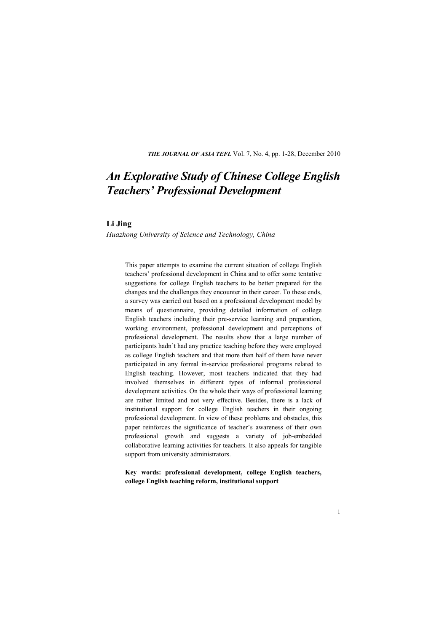**THE JOURNAL OF ASIA TEFL** Vol. 7, No. 4, pp. 1-28, December 2010

# *An Explorative Study of Chinese College English Teachers' Professional Development*

### **Li Jing**

*Huazhong University of Science and Technology, China* 

This paper attempts to examine the current situation of college English teachers' professional development in China and to offer some tentative suggestions for college English teachers to be better prepared for the changes and the challenges they encounter in their career. To these ends, a survey was carried out based on a professional development model by means of questionnaire, providing detailed information of college English teachers including their pre-service learning and preparation, working environment, professional development and perceptions of professional development. The results show that a large number of participants hadn't had any practice teaching before they were employed as college English teachers and that more than half of them have never participated in any formal in-service professional programs related to English teaching. However, most teachers indicated that they had involved themselves in different types of informal professional development activities. On the whole their ways of professional learning are rather limited and not very effective. Besides, there is a lack of institutional support for college English teachers in their ongoing professional development. In view of these problems and obstacles, this paper reinforces the significance of teacher's awareness of their own professional growth and suggests a variety of job-embedded collaborative learning activities for teachers. It also appeals for tangible support from university administrators.

**Key words: professional development, college English teachers, college English teaching reform, institutional support**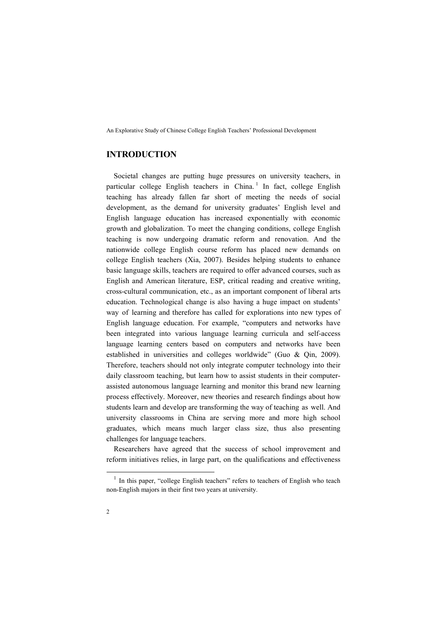# **INTRODUCTION**

Societal changes are putting huge pressures on university teachers, in particular college English teachers in China.<sup>1</sup> In fact, college English teaching has already fallen far short of meeting the needs of social development, as the demand for university graduates' English level and English language education has increased exponentially with economic growth and globalization. To meet the changing conditions, college English teaching is now undergoing dramatic reform and renovation. And the nationwide college English course reform has placed new demands on college English teachers (Xia, 2007). Besides helping students to enhance basic language skills, teachers are required to offer advanced courses, such as English and American literature, ESP, critical reading and creative writing, cross-cultural communication, etc., as an important component of liberal arts education. Technological change is also having a huge impact on students' way of learning and therefore has called for explorations into new types of English language education. For example, "computers and networks have been integrated into various language learning curricula and self-access language learning centers based on computers and networks have been established in universities and colleges worldwide" (Guo & Qin, 2009). Therefore, teachers should not only integrate computer technology into their daily classroom teaching, but learn how to assist students in their computerassisted autonomous language learning and monitor this brand new learning process effectively. Moreover, new theories and research findings about how students learn and develop are transforming the way of teaching as well. And university classrooms in China are serving more and more high school graduates, which means much larger class size, thus also presenting challenges for language teachers.

Researchers have agreed that the success of school improvement and reform initiatives relies, in large part, on the qualifications and effectiveness

-

<sup>&</sup>lt;sup>1</sup> In this paper, "college English teachers" refers to teachers of English who teach non-English majors in their first two years at university.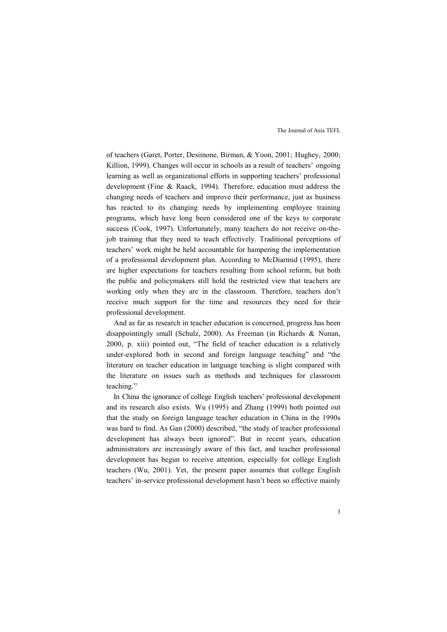of teachers (Garet, Porter, Desimone, Birman, & Yoon, 2001; Hughey, 2000; Killion, 1999). Changes will occur in schools as a result of teachers' ongoing learning as well as organizational efforts in supporting teachers' professional development (Fine & Raack, 1994). Therefore, education must address the changing needs of teachers and improve their performance, just as business has reacted to its changing needs by implementing employee training programs, which have long been considered one of the keys to corporate success (Cook, 1997). Unfortunately, many teachers do not receive on-thejob training that they need to teach effectively. Traditional perceptions of teachers' work might be held accountable for hampering the implementation of a professional development plan. According to McDiarmid (1995), there are higher expectations for teachers resulting from school reform, but both the public and policymakers still hold the restricted view that teachers are working only when they are in the classroom. Therefore, teachers don't receive much support for the time and resources they need for their professional development.

And as far as research in teacher education is concerned, progress has been disappointingly small (Schulz, 2000). As Freeman (in Richards & Nunan, 2000, p. xiii) pointed out, "The field of teacher education is a relatively under-explored both in second and foreign language teaching" and "the literature on teacher education in language teaching is slight compared with the literature on issues such as methods and techniques for classroom teaching."

In China the ignorance of college English teachers' professional development and its research also exists. Wu (1995) and Zhang (1999) both pointed out that the study on foreign language teacher education in China in the 1990s was hard to find. As Gan (2000) described, "the study of teacher professional development has always been ignored". But in recent years, education administrators are increasingly aware of this fact, and teacher professional development has begun to receive attention, especially for college English teachers (Wu, 2001). Yet, the present paper assumes that college English teachers' in-service professional development hasn't been so effective mainly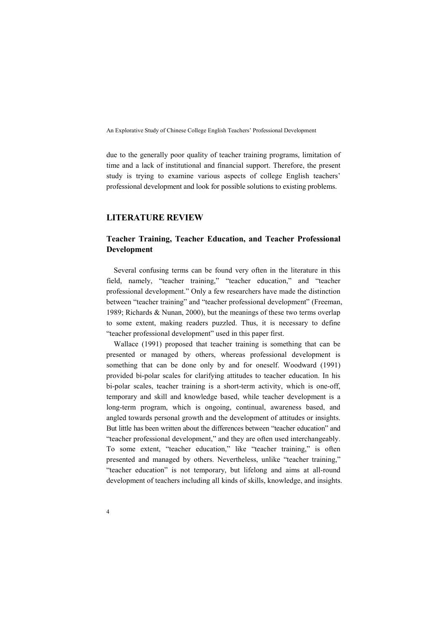due to the generally poor quality of teacher training programs, limitation of time and a lack of institutional and financial support. Therefore, the present study is trying to examine various aspects of college English teachers' professional development and look for possible solutions to existing problems.

### **LITERATURE REVIEW**

# **Teacher Training, Teacher Education, and Teacher Professional Development**

Several confusing terms can be found very often in the literature in this field, namely, "teacher training," "teacher education," and "teacher professional development." Only a few researchers have made the distinction between "teacher training" and "teacher professional development" (Freeman, 1989; Richards & Nunan, 2000), but the meanings of these two terms overlap to some extent, making readers puzzled. Thus, it is necessary to define "teacher professional development" used in this paper first.

Wallace (1991) proposed that teacher training is something that can be presented or managed by others, whereas professional development is something that can be done only by and for oneself. Woodward (1991) provided bi-polar scales for clarifying attitudes to teacher education. In his bi-polar scales, teacher training is a short-term activity, which is one-off, temporary and skill and knowledge based, while teacher development is a long-term program, which is ongoing, continual, awareness based, and angled towards personal growth and the development of attitudes or insights. But little has been written about the differences between "teacher education" and "teacher professional development," and they are often used interchangeably. To some extent, "teacher education," like "teacher training," is often presented and managed by others. Nevertheless, unlike "teacher training," "teacher education" is not temporary, but lifelong and aims at all-round development of teachers including all kinds of skills, knowledge, and insights.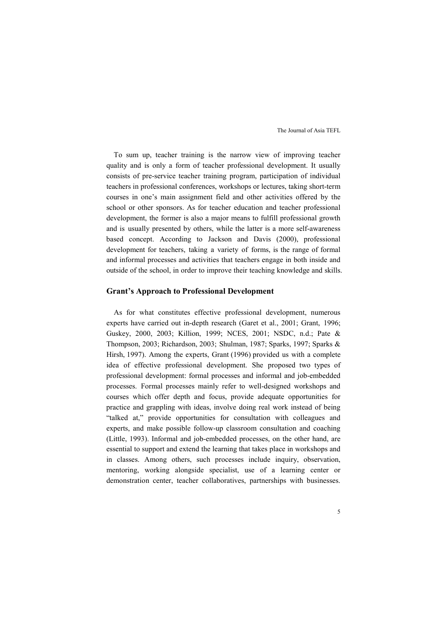To sum up, teacher training is the narrow view of improving teacher quality and is only a form of teacher professional development. It usually consists of pre-service teacher training program, participation of individual teachers in professional conferences, workshops or lectures, taking short-term courses in one's main assignment field and other activities offered by the school or other sponsors. As for teacher education and teacher professional development, the former is also a major means to fulfill professional growth and is usually presented by others, while the latter is a more self-awareness based concept. According to Jackson and Davis (2000), professional development for teachers, taking a variety of forms, is the range of formal and informal processes and activities that teachers engage in both inside and outside of the school, in order to improve their teaching knowledge and skills.

#### **Grant's Approach to Professional Development**

As for what constitutes effective professional development, numerous experts have carried out in-depth research (Garet et al., 2001; Grant, 1996; Guskey, 2000, 2003; Killion, 1999; NCES, 2001; NSDC, n.d.; Pate & Thompson, 2003; Richardson, 2003; Shulman, 1987; Sparks, 1997; Sparks & Hirsh, 1997). Among the experts, Grant (1996) provided us with a complete idea of effective professional development. She proposed two types of professional development: formal processes and informal and job-embedded processes. Formal processes mainly refer to well-designed workshops and courses which offer depth and focus, provide adequate opportunities for practice and grappling with ideas, involve doing real work instead of being "talked at," provide opportunities for consultation with colleagues and experts, and make possible follow-up classroom consultation and coaching (Little, 1993). Informal and job-embedded processes, on the other hand, are essential to support and extend the learning that takes place in workshops and in classes. Among others, such processes include inquiry, observation, mentoring, working alongside specialist, use of a learning center or demonstration center, teacher collaboratives, partnerships with businesses.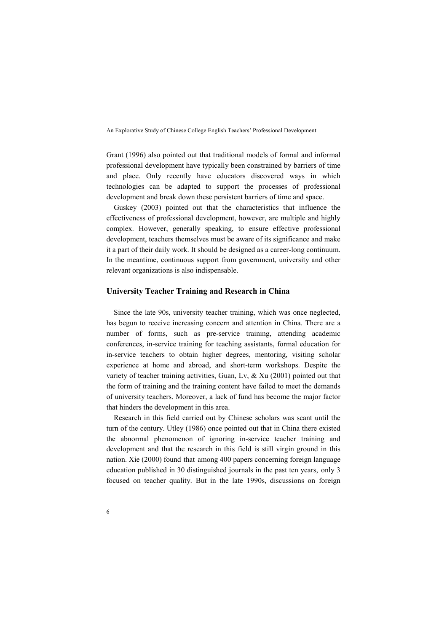Grant (1996) also pointed out that traditional models of formal and informal professional development have typically been constrained by barriers of time and place. Only recently have educators discovered ways in which technologies can be adapted to support the processes of professional development and break down these persistent barriers of time and space.

Guskey (2003) pointed out that the characteristics that influence the effectiveness of professional development, however, are multiple and highly complex. However, generally speaking, to ensure effective professional development, teachers themselves must be aware of its significance and make it a part of their daily work. It should be designed as a career-long continuum. In the meantime, continuous support from government, university and other relevant organizations is also indispensable.

#### **University Teacher Training and Research in China**

Since the late 90s, university teacher training, which was once neglected, has begun to receive increasing concern and attention in China. There are a number of forms, such as pre-service training, attending academic conferences, in-service training for teaching assistants, formal education for in-service teachers to obtain higher degrees, mentoring, visiting scholar experience at home and abroad, and short-term workshops. Despite the variety of teacher training activities, Guan, Lv, & Xu (2001) pointed out that the form of training and the training content have failed to meet the demands of university teachers. Moreover, a lack of fund has become the major factor that hinders the development in this area.

Research in this field carried out by Chinese scholars was scant until the turn of the century. Utley (1986) once pointed out that in China there existed the abnormal phenomenon of ignoring in-service teacher training and development and that the research in this field is still virgin ground in this nation. Xie (2000) found that among 400 papers concerning foreign language education published in 30 distinguished journals in the past ten years, only 3 focused on teacher quality. But in the late 1990s, discussions on foreign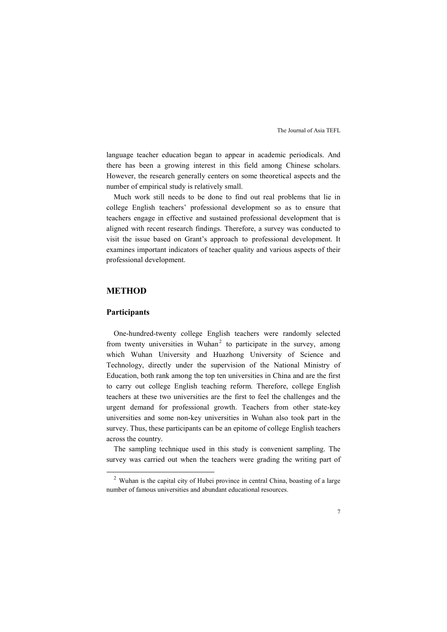language teacher education began to appear in academic periodicals. And there has been a growing interest in this field among Chinese scholars. However, the research generally centers on some theoretical aspects and the number of empirical study is relatively small.

Much work still needs to be done to find out real problems that lie in college English teachers' professional development so as to ensure that teachers engage in effective and sustained professional development that is aligned with recent research findings. Therefore, a survey was conducted to visit the issue based on Grant's approach to professional development. It examines important indicators of teacher quality and various aspects of their professional development.

### **METHOD**

### **Participants**

-

One-hundred-twenty college English teachers were randomly selected from twenty universities in Wuhan<sup>2</sup> to participate in the survey, among which Wuhan University and Huazhong University of Science and Technology, directly under the supervision of the National Ministry of Education, both rank among the top ten universities in China and are the first to carry out college English teaching reform. Therefore, college English teachers at these two universities are the first to feel the challenges and the urgent demand for professional growth. Teachers from other state-key universities and some non-key universities in Wuhan also took part in the survey. Thus, these participants can be an epitome of college English teachers across the country.

The sampling technique used in this study is convenient sampling. The survey was carried out when the teachers were grading the writing part of

<sup>&</sup>lt;sup>2</sup> Wuhan is the capital city of Hubei province in central China, boasting of a large number of famous universities and abundant educational resources.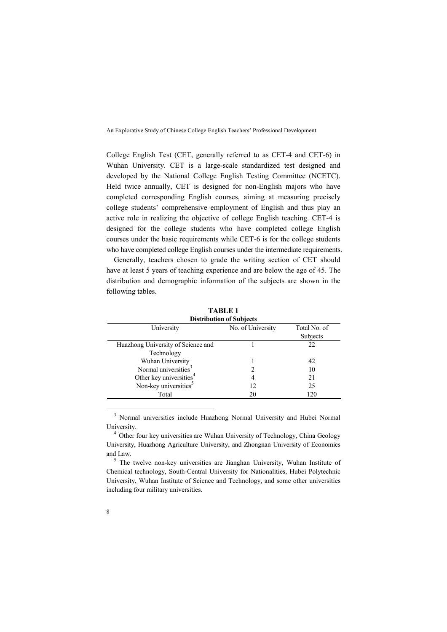College English Test (CET, generally referred to as CET-4 and CET-6) in Wuhan University. CET is a large-scale standardized test designed and developed by the National College English Testing Committee (NCETC). Held twice annually, CET is designed for non-English majors who have completed corresponding English courses, aiming at measuring precisely college students' comprehensive employment of English and thus play an active role in realizing the objective of college English teaching. CET-4 is designed for the college students who have completed college English courses under the basic requirements while CET-6 is for the college students who have completed college English courses under the intermediate requirements.

Generally, teachers chosen to grade the writing section of CET should have at least 5 years of teaching experience and are below the age of 45. The distribution and demographic information of the subjects are shown in the following tables.

| <b>Distribution of Subjects</b>     |                   |                          |  |  |
|-------------------------------------|-------------------|--------------------------|--|--|
| University                          | No. of University | Total No. of<br>Subjects |  |  |
| Huazhong University of Science and  |                   | 22                       |  |  |
| Technology                          |                   |                          |  |  |
| Wuhan University                    |                   | 42                       |  |  |
| Normal universities <sup>3</sup>    |                   | 10                       |  |  |
| Other key universities <sup>4</sup> |                   | 21                       |  |  |
| Non-key universities <sup>5</sup>   | 12                | 25                       |  |  |
| Total                               | 20                | 120                      |  |  |

**TABLE 1** 

<sup>3</sup> Normal universities include Huazhong Normal University and Hubei Normal University.

<sup>4</sup> Other four key universities are Wuhan University of Technology, China Geology University, Huazhong Agriculture University, and Zhongnan University of Economics and Law.

<sup>5</sup> The twelve non-key universities are Jianghan University, Wuhan Institute of Chemical technology, South-Central University for Nationalities, Hubei Polytechnic University, Wuhan Institute of Science and Technology, and some other universities including four military universities.

-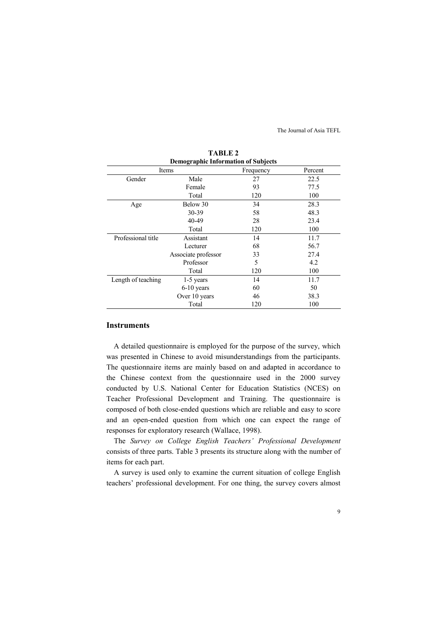| <b>Demographic Information of Subjects</b> |                     |           |         |
|--------------------------------------------|---------------------|-----------|---------|
|                                            | Items               | Frequency | Percent |
| Gender                                     | Male                | 27        | 22.5    |
|                                            | Female              | 93        | 77.5    |
|                                            | Total               | 120       | 100     |
| Age                                        | Below 30            | 34        | 28.3    |
|                                            | 30-39               | 58        | 48.3    |
|                                            | 40-49               | 28        | 23.4    |
|                                            | Total               | 120       | 100     |
| Professional title                         | Assistant           | 14        | 11.7    |
|                                            | Lecturer            | 68        | 56.7    |
|                                            | Associate professor | 33        | 27.4    |
|                                            | Professor           | 5         | 4.2     |
|                                            | Total               | 120       | 100     |
| Length of teaching                         | $1-5$ years         | 14        | 11.7    |
|                                            | $6-10$ years        | 60        | 50      |
|                                            | Over 10 years       | 46        | 38.3    |
|                                            | Total               | 120       | 100     |

**TABLE 2** 

### **Instruments**

A detailed questionnaire is employed for the purpose of the survey, which was presented in Chinese to avoid misunderstandings from the participants. The questionnaire items are mainly based on and adapted in accordance to the Chinese context from the questionnaire used in the 2000 survey conducted by U.S. National Center for Education Statistics (NCES) on Teacher Professional Development and Training. The questionnaire is composed of both close-ended questions which are reliable and easy to score and an open-ended question from which one can expect the range of responses for exploratory research (Wallace, 1998).

The *Survey on College English Teachers' Professional Development* consists of three parts. Table 3 presents its structure along with the number of items for each part.

A survey is used only to examine the current situation of college English teachers' professional development. For one thing, the survey covers almost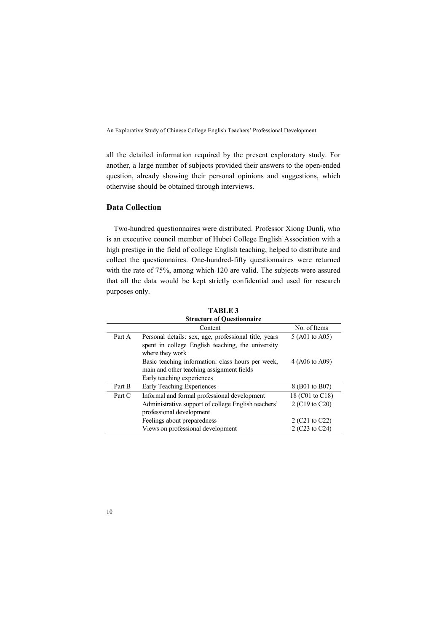all the detailed information required by the present exploratory study. For another, a large number of subjects provided their answers to the open-ended question, already showing their personal opinions and suggestions, which otherwise should be obtained through interviews.

### **Data Collection**

Two-hundred questionnaires were distributed. Professor Xiong Dunli, who is an executive council member of Hubei College English Association with a high prestige in the field of college English teaching, helped to distribute and collect the questionnaires. One-hundred-fifty questionnaires were returned with the rate of 75%, among which 120 are valid. The subjects were assured that all the data would be kept strictly confidential and used for research purposes only.

| <b>Structure of Questionnaire</b> |                                                       |                 |  |
|-----------------------------------|-------------------------------------------------------|-----------------|--|
|                                   | Content                                               | No. of Items    |  |
| Part A                            | Personal details: sex, age, professional title, years | 5 (A01 to A05)  |  |
|                                   | spent in college English teaching, the university     |                 |  |
|                                   | where they work                                       |                 |  |
|                                   | Basic teaching information: class hours per week,     | 4 (A06 to A09)  |  |
|                                   | main and other teaching assignment fields             |                 |  |
|                                   | Early teaching experiences                            |                 |  |
| Part B                            | Early Teaching Experiences                            | 8 (B01 to B07)  |  |
| Part C                            | Informal and formal professional development          | 18 (C01 to C18) |  |
|                                   | Administrative support of college English teachers'   | 2 (C19 to C20)  |  |
|                                   | professional development                              |                 |  |
|                                   | Feelings about preparedness                           | 2 (C21 to C22)  |  |
|                                   | Views on professional development                     | 2 (C23 to C24)  |  |
|                                   |                                                       |                 |  |

**TABLE 3 Structure of Questionnaire**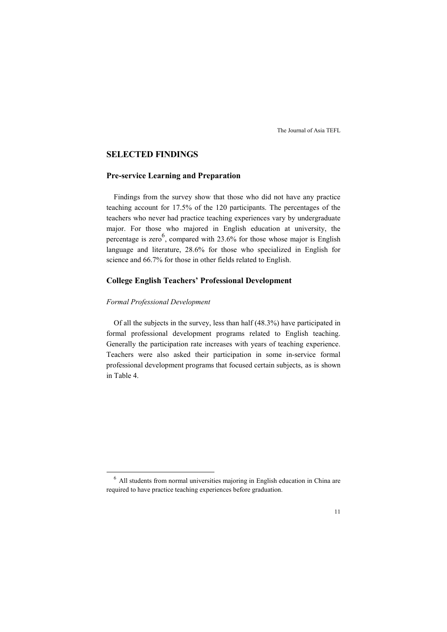# **SELECTED FINDINGS**

### **Pre-service Learning and Preparation**

Findings from the survey show that those who did not have any practice teaching account for 17.5% of the 120 participants. The percentages of the teachers who never had practice teaching experiences vary by undergraduate major. For those who majored in English education at university, the percentage is zero<sup>6</sup>, compared with 23.6% for those whose major is English language and literature, 28.6% for those who specialized in English for science and 66.7% for those in other fields related to English.

## **College English Teachers' Professional Development**

#### *Formal Professional Development*

-

Of all the subjects in the survey, less than half (48.3%) have participated in formal professional development programs related to English teaching. Generally the participation rate increases with years of teaching experience. Teachers were also asked their participation in some in-service formal professional development programs that focused certain subjects, as is shown in Table 4.

<sup>&</sup>lt;sup>6</sup> All students from normal universities majoring in English education in China are required to have practice teaching experiences before graduation.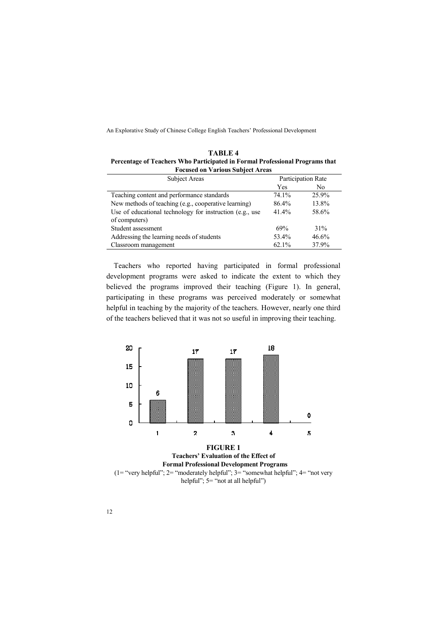| TABLE 4<br>Percentage of Teachers Who Participated in Formal Professional Programs that<br><b>Focused on Various Subject Areas</b> |                    |    |
|------------------------------------------------------------------------------------------------------------------------------------|--------------------|----|
| <b>Participation Rate</b><br><b>Subject Areas</b>                                                                                  |                    |    |
|                                                                                                                                    | $V_{\alpha\alpha}$ | NΔ |

| <b>SUDJECT ATEAS</b>                                     |          | Participation Rate |
|----------------------------------------------------------|----------|--------------------|
|                                                          | Yes      | N <sub>0</sub>     |
| Teaching content and performance standards               | 74.1%    | 25.9%              |
| New methods of teaching (e.g., cooperative learning)     | 86.4%    | 13.8%              |
| Use of educational technology for instruction (e.g., use | $41.4\%$ | 58.6%              |
| of computers)                                            |          |                    |
| Student assessment                                       | 69%      | 31%                |
| Addressing the learning needs of students                | 53.4%    | 46.6%              |
| Classroom management                                     | 62.1%    | 37.9%              |

Teachers who reported having participated in formal professional development programs were asked to indicate the extent to which they believed the programs improved their teaching (Figure 1). In general, participating in these programs was perceived moderately or somewhat helpful in teaching by the majority of the teachers. However, nearly one third of the teachers believed that it was not so useful in improving their teaching.



**Teachers' Evaluation of the Effect of Formal Professional Development Programs**  (1= "very helpful"; 2= "moderately helpful"; 3= "somewhat helpful"; 4= "not very helpful";  $5 =$  "not at all helpful")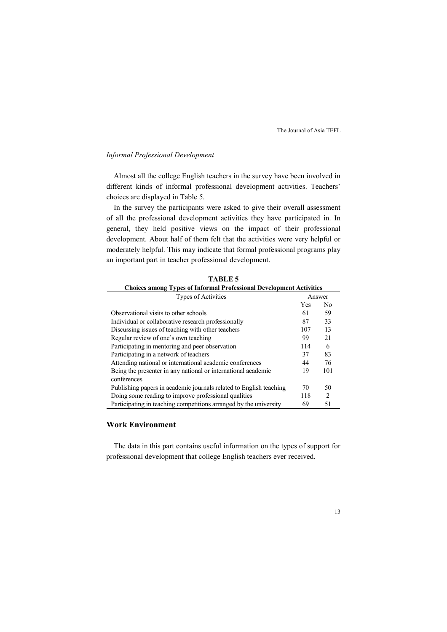### *Informal Professional Development*

Almost all the college English teachers in the survey have been involved in different kinds of informal professional development activities. Teachers' choices are displayed in Table 5.

In the survey the participants were asked to give their overall assessment of all the professional development activities they have participated in. In general, they held positive views on the impact of their professional development. About half of them felt that the activities were very helpful or moderately helpful. This may indicate that formal professional programs play an important part in teacher professional development.

| Choices among Types of finormal Professional Development Activities |     |                |  |
|---------------------------------------------------------------------|-----|----------------|--|
| <b>Types of Activities</b>                                          |     | Answer         |  |
|                                                                     | Yes | No             |  |
| Observational visits to other schools                               | 61  | 59             |  |
| Individual or collaborative research professionally                 | 87  | 33             |  |
| Discussing issues of teaching with other teachers                   | 107 | 13             |  |
| Regular review of one's own teaching                                | 99  | 21             |  |
| Participating in mentoring and peer observation                     | 114 | 6              |  |
| Participating in a network of teachers                              | 37  | 83             |  |
| Attending national or international academic conferences            | 44  | 76             |  |
| Being the presenter in any national or international academic       | 19  | 101            |  |
| conferences                                                         |     |                |  |
| Publishing papers in academic journals related to English teaching  | 70  | 50             |  |
| Doing some reading to improve professional qualities                | 118 | $\mathfrak{D}$ |  |
| Participating in teaching competitions arranged by the university   | 69  | 51             |  |

**TABLE 5 Choices among Types of Informal Professional Development Activities** 

# **Work Environment**

The data in this part contains useful information on the types of support for professional development that college English teachers ever received.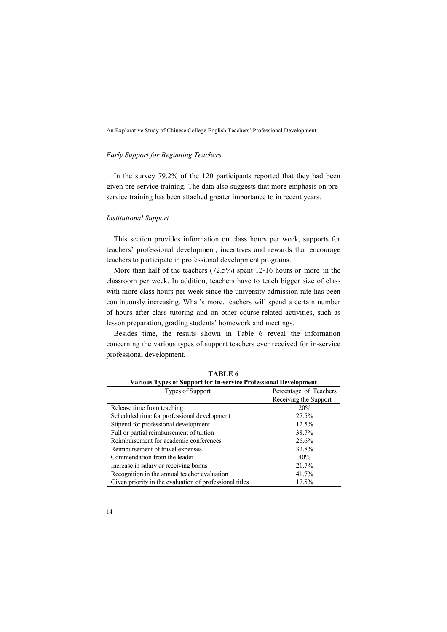#### *Early Support for Beginning Teachers*

In the survey 79.2% of the 120 participants reported that they had been given pre-service training. The data also suggests that more emphasis on preservice training has been attached greater importance to in recent years.

#### *Institutional Support*

This section provides information on class hours per week, supports for teachers' professional development, incentives and rewards that encourage teachers to participate in professional development programs.

More than half of the teachers (72.5%) spent 12-16 hours or more in the classroom per week. In addition, teachers have to teach bigger size of class with more class hours per week since the university admission rate has been continuously increasing. What's more, teachers will spend a certain number of hours after class tutoring and on other course-related activities, such as lesson preparation, grading students' homework and meetings.

Besides time, the results shown in Table 6 reveal the information concerning the various types of support teachers ever received for in-service professional development.

| <b>Various Types of Support for In-service Professional Development</b> |                        |  |  |
|-------------------------------------------------------------------------|------------------------|--|--|
| Types of Support                                                        | Percentage of Teachers |  |  |
|                                                                         | Receiving the Support  |  |  |
| Release time from teaching                                              | 20%                    |  |  |
| Scheduled time for professional development                             | 27.5%                  |  |  |
| Stipend for professional development                                    | 12.5%                  |  |  |
| Full or partial reimbursement of tuition                                | 38.7%                  |  |  |
| Reimbursement for academic conferences                                  | 26.6%                  |  |  |
| Reimbursement of travel expenses                                        | 32.8%                  |  |  |
| Commendation from the leader                                            | 40%                    |  |  |
| Increase in salary or receiving bonus                                   | 21.7%                  |  |  |
| Recognition in the annual teacher evaluation                            | 41.7%                  |  |  |
| Given priority in the evaluation of professional titles                 | 17.5%                  |  |  |

**TABLE 6**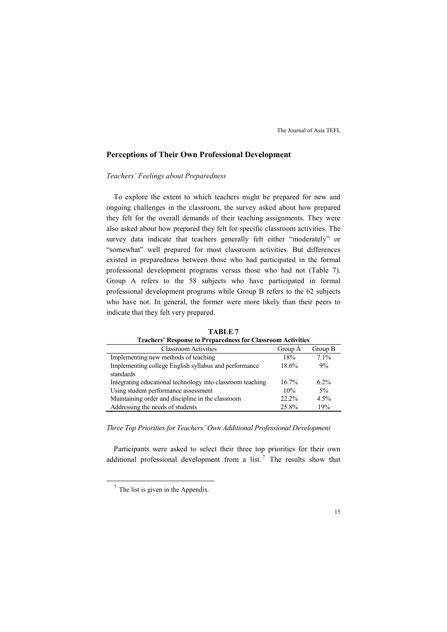# **Perceptions of Their Own Professional Development**

#### *Teachers' Feelings about Preparedness*

To explore the extent to which teachers might be prepared for new and ongoing challenges in the classroom, the survey asked about how prepared they felt for the overall demands of their teaching assignments. They were also asked about how prepared they felt for specific classroom activities. The survey data indicate that teachers generally felt either "moderately" or "somewhat" well prepared for most classroom activities. But differences existed in preparedness between those who had participated in the formal professional development programs versus those who had not (Table 7). Group A refers to the 58 subjects who have participated in formal professional development programs while Group B refers to the 62 subjects who have not. In general, the former were more likely than their peers to indicate that they felt very prepared.

| <b>Teachers' Response to Preparedness for Classroom Activities</b> |          |         |  |  |
|--------------------------------------------------------------------|----------|---------|--|--|
| <b>Classroom Activities</b>                                        | Group A  | Group B |  |  |
| Implementing new methods of teaching                               | 18%      | $71\%$  |  |  |
| Implementing college English syllabus and performance              | 18.6%    | 9%      |  |  |
| standards                                                          |          |         |  |  |
| Integrating educational technology into classroom teaching         | $16.7\%$ | $6.2\%$ |  |  |
| Using student performance assessment                               | 10%      | $5\%$   |  |  |
| Maintaining order and discipline in the classroom                  | $22.2\%$ | 4.5%    |  |  |
| Addressing the needs of students                                   | 25.8%    | 19%     |  |  |

**TABLE 7** 

*Three Top Priorities for Teachers' Own Additional Professional Development* 

Participants were asked to select their three top priorities for their own additional professional development from a list.<sup>7</sup> The results show that

-

 $<sup>7</sup>$  The list is given in the Appendix.</sup>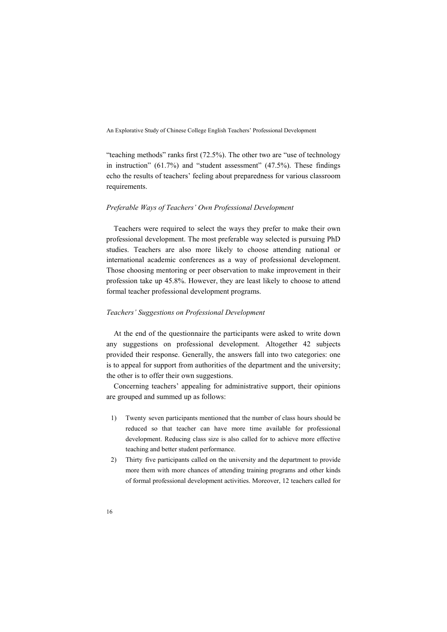"teaching methods" ranks first (72.5%). The other two are "use of technology in instruction" (61.7%) and "student assessment" (47.5%). These findings echo the results of teachers' feeling about preparedness for various classroom requirements.

#### *Preferable Ways of Teachers' Own Professional Development*

Teachers were required to select the ways they prefer to make their own professional development. The most preferable way selected is pursuing PhD studies. Teachers are also more likely to choose attending national or international academic conferences as a way of professional development. Those choosing mentoring or peer observation to make improvement in their profession take up 45.8%. However, they are least likely to choose to attend formal teacher professional development programs.

#### *Teachers' Suggestions on Professional Development*

At the end of the questionnaire the participants were asked to write down any suggestions on professional development. Altogether 42 subjects provided their response. Generally, the answers fall into two categories: one is to appeal for support from authorities of the department and the university; the other is to offer their own suggestions.

Concerning teachers' appealing for administrative support, their opinions are grouped and summed up as follows:

- 1) Twenty seven participants mentioned that the number of class hours should be reduced so that teacher can have more time available for professional development. Reducing class size is also called for to achieve more effective teaching and better student performance.
- 2) Thirty five participants called on the university and the department to provide more them with more chances of attending training programs and other kinds of formal professional development activities. Moreover, 12 teachers called for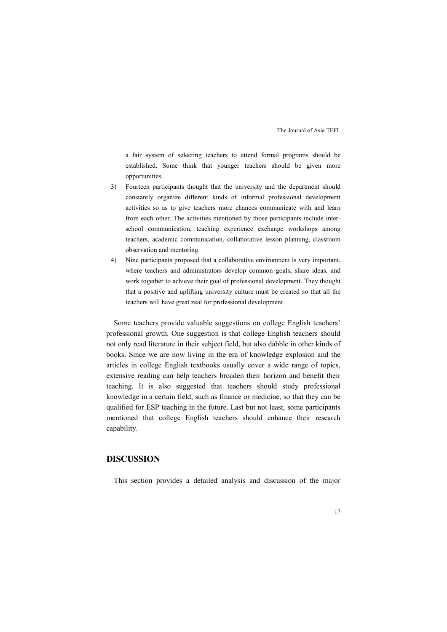a fair system of selecting teachers to attend formal programs should be established. Some think that younger teachers should be given more opportunities.

- 3) Fourteen participants thought that the university and the department should constantly organize different kinds of informal professional development activities so as to give teachers more chances communicate with and learn from each other. The activities mentioned by those participants include interschool communication, teaching experience exchange workshops among teachers, academic communication, collaborative lesson planning, classroom observation and mentoring.
- 4) Nine participants proposed that a collaborative environment is very important, where teachers and administrators develop common goals, share ideas, and work together to achieve their goal of professional development. They thought that a positive and uplifting university culture must be created so that all the teachers will have great zeal for professional development.

Some teachers provide valuable suggestions on college English teachers' professional growth. One suggestion is that college English teachers should not only read literature in their subject field, but also dabble in other kinds of books. Since we are now living in the era of knowledge explosion and the articles in college English textbooks usually cover a wide range of topics, extensive reading can help teachers broaden their horizon and benefit their teaching. It is also suggested that teachers should study professional knowledge in a certain field, such as finance or medicine, so that they can be qualified for ESP teaching in the future. Last but not least, some participants mentioned that college English teachers should enhance their research capability.

### **DISCUSSION**

This section provides a detailed analysis and discussion of the major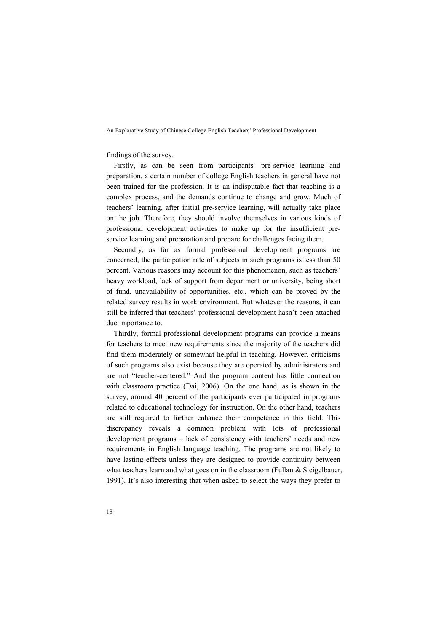#### findings of the survey.

Firstly, as can be seen from participants' pre-service learning and preparation, a certain number of college English teachers in general have not been trained for the profession. It is an indisputable fact that teaching is a complex process, and the demands continue to change and grow. Much of teachers' learning, after initial pre-service learning, will actually take place on the job. Therefore, they should involve themselves in various kinds of professional development activities to make up for the insufficient preservice learning and preparation and prepare for challenges facing them.

Secondly, as far as formal professional development programs are concerned, the participation rate of subjects in such programs is less than 50 percent. Various reasons may account for this phenomenon, such as teachers' heavy workload, lack of support from department or university, being short of fund, unavailability of opportunities, etc., which can be proved by the related survey results in work environment. But whatever the reasons, it can still be inferred that teachers' professional development hasn't been attached due importance to.

Thirdly, formal professional development programs can provide a means for teachers to meet new requirements since the majority of the teachers did find them moderately or somewhat helpful in teaching. However, criticisms of such programs also exist because they are operated by administrators and are not "teacher-centered." And the program content has little connection with classroom practice (Dai, 2006). On the one hand, as is shown in the survey, around 40 percent of the participants ever participated in programs related to educational technology for instruction. On the other hand, teachers are still required to further enhance their competence in this field. This discrepancy reveals a common problem with lots of professional development programs – lack of consistency with teachers' needs and new requirements in English language teaching. The programs are not likely to have lasting effects unless they are designed to provide continuity between what teachers learn and what goes on in the classroom (Fullan & Steigelbauer, 1991). It's also interesting that when asked to select the ways they prefer to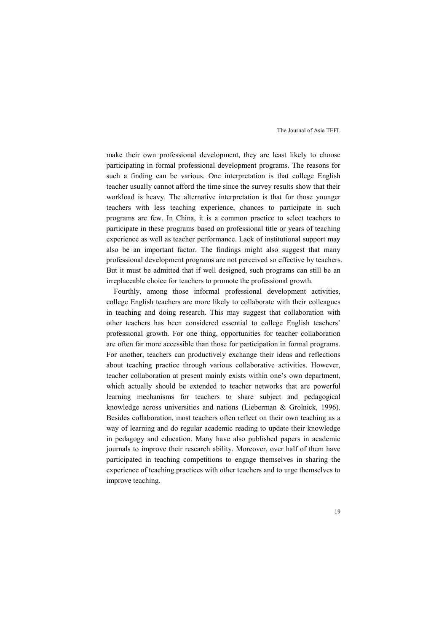make their own professional development, they are least likely to choose participating in formal professional development programs. The reasons for such a finding can be various. One interpretation is that college English teacher usually cannot afford the time since the survey results show that their workload is heavy. The alternative interpretation is that for those younger teachers with less teaching experience, chances to participate in such programs are few. In China, it is a common practice to select teachers to participate in these programs based on professional title or years of teaching experience as well as teacher performance. Lack of institutional support may also be an important factor. The findings might also suggest that many professional development programs are not perceived so effective by teachers. But it must be admitted that if well designed, such programs can still be an irreplaceable choice for teachers to promote the professional growth.

Fourthly, among those informal professional development activities, college English teachers are more likely to collaborate with their colleagues in teaching and doing research. This may suggest that collaboration with other teachers has been considered essential to college English teachers' professional growth. For one thing, opportunities for teacher collaboration are often far more accessible than those for participation in formal programs. For another, teachers can productively exchange their ideas and reflections about teaching practice through various collaborative activities. However, teacher collaboration at present mainly exists within one's own department, which actually should be extended to teacher networks that are powerful learning mechanisms for teachers to share subject and pedagogical knowledge across universities and nations (Lieberman & Grolnick, 1996). Besides collaboration, most teachers often reflect on their own teaching as a way of learning and do regular academic reading to update their knowledge in pedagogy and education. Many have also published papers in academic journals to improve their research ability. Moreover, over half of them have participated in teaching competitions to engage themselves in sharing the experience of teaching practices with other teachers and to urge themselves to improve teaching.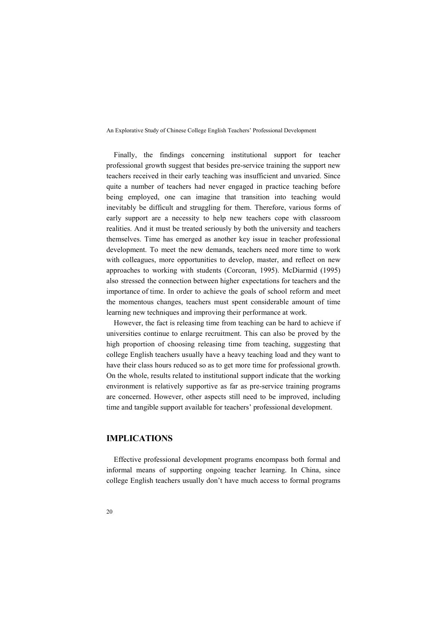Finally, the findings concerning institutional support for teacher professional growth suggest that besides pre-service training the support new teachers received in their early teaching was insufficient and unvaried. Since quite a number of teachers had never engaged in practice teaching before being employed, one can imagine that transition into teaching would inevitably be difficult and struggling for them. Therefore, various forms of early support are a necessity to help new teachers cope with classroom realities. And it must be treated seriously by both the university and teachers themselves. Time has emerged as another key issue in teacher professional development. To meet the new demands, teachers need more time to work with colleagues, more opportunities to develop, master, and reflect on new approaches to working with students (Corcoran, 1995). McDiarmid (1995) also stressed the connection between higher expectations for teachers and the importance of time. In order to achieve the goals of school reform and meet the momentous changes, teachers must spent considerable amount of time learning new techniques and improving their performance at work.

However, the fact is releasing time from teaching can be hard to achieve if universities continue to enlarge recruitment. This can also be proved by the high proportion of choosing releasing time from teaching, suggesting that college English teachers usually have a heavy teaching load and they want to have their class hours reduced so as to get more time for professional growth. On the whole, results related to institutional support indicate that the working environment is relatively supportive as far as pre-service training programs are concerned. However, other aspects still need to be improved, including time and tangible support available for teachers' professional development.

## **IMPLICATIONS**

Effective professional development programs encompass both formal and informal means of supporting ongoing teacher learning. In China, since college English teachers usually don't have much access to formal programs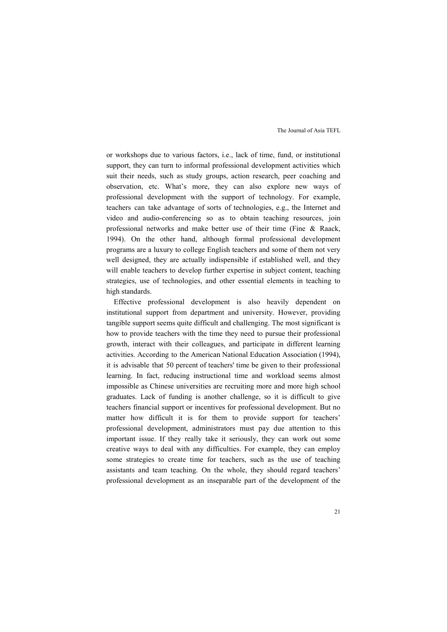or workshops due to various factors, i.e., lack of time, fund, or institutional support, they can turn to informal professional development activities which suit their needs, such as study groups, action research, peer coaching and observation, etc. What's more, they can also explore new ways of professional development with the support of technology. For example, teachers can take advantage of sorts of technologies, e.g., the Internet and video and audio-conferencing so as to obtain teaching resources, join professional networks and make better use of their time (Fine & Raack, 1994). On the other hand, although formal professional development programs are a luxury to college English teachers and some of them not very well designed, they are actually indispensible if established well, and they will enable teachers to develop further expertise in subject content, teaching strategies, use of technologies, and other essential elements in teaching to high standards.

Effective professional development is also heavily dependent on institutional support from department and university. However, providing tangible support seems quite difficult and challenging. The most significant is how to provide teachers with the time they need to pursue their professional growth, interact with their colleagues, and participate in different learning activities. According to the American National Education Association (1994), it is advisable that 50 percent of teachers' time be given to their professional learning. In fact, reducing instructional time and workload seems almost impossible as Chinese universities are recruiting more and more high school graduates. Lack of funding is another challenge, so it is difficult to give teachers financial support or incentives for professional development. But no matter how difficult it is for them to provide support for teachers' professional development, administrators must pay due attention to this important issue. If they really take it seriously, they can work out some creative ways to deal with any difficulties. For example, they can employ some strategies to create time for teachers, such as the use of teaching assistants and team teaching. On the whole, they should regard teachers' professional development as an inseparable part of the development of the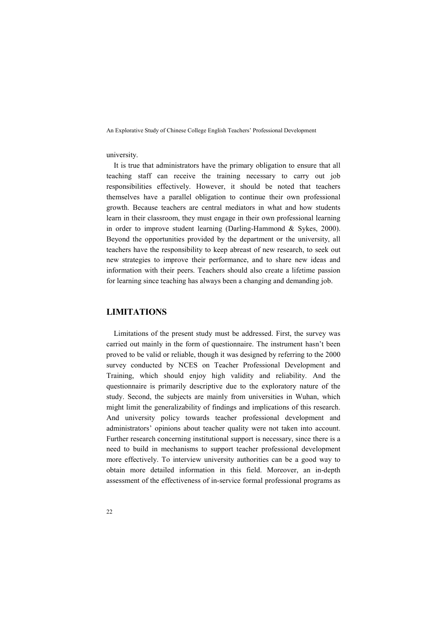#### university.

It is true that administrators have the primary obligation to ensure that all teaching staff can receive the training necessary to carry out job responsibilities effectively. However, it should be noted that teachers themselves have a parallel obligation to continue their own professional growth. Because teachers are central mediators in what and how students learn in their classroom, they must engage in their own professional learning in order to improve student learning (Darling-Hammond & Sykes, 2000). Beyond the opportunities provided by the department or the university, all teachers have the responsibility to keep abreast of new research, to seek out new strategies to improve their performance, and to share new ideas and information with their peers. Teachers should also create a lifetime passion for learning since teaching has always been a changing and demanding job.

### **LIMITATIOS**

Limitations of the present study must be addressed. First, the survey was carried out mainly in the form of questionnaire. The instrument hasn't been proved to be valid or reliable, though it was designed by referring to the 2000 survey conducted by NCES on Teacher Professional Development and Training, which should enjoy high validity and reliability. And the questionnaire is primarily descriptive due to the exploratory nature of the study. Second, the subjects are mainly from universities in Wuhan, which might limit the generalizability of findings and implications of this research. And university policy towards teacher professional development and administrators' opinions about teacher quality were not taken into account. Further research concerning institutional support is necessary, since there is a need to build in mechanisms to support teacher professional development more effectively. To interview university authorities can be a good way to obtain more detailed information in this field. Moreover, an in-depth assessment of the effectiveness of in-service formal professional programs as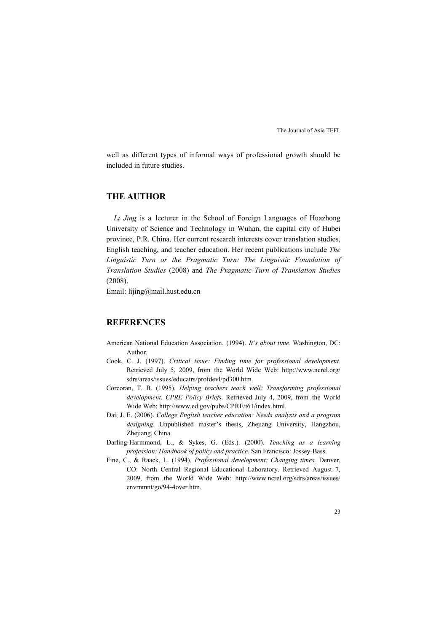well as different types of informal ways of professional growth should be included in future studies.

## **THE AUTHOR**

*Li Jing* is a lecturer in the School of Foreign Languages of Huazhong University of Science and Technology in Wuhan, the capital city of Hubei province, P.R. China. Her current research interests cover translation studies, English teaching, and teacher education. Her recent publications include *The Linguistic Turn or the Pragmatic Turn: The Linguistic Foundation of Translation Studies* (2008) and *The Pragmatic Turn of Translation Studies*  (2008).

Email: lijing@mail.hust.edu.cn

### **REFERENCES**

- American National Education Association. (1994). *It's about time.* Washington, DC: Author.
- Cook, C. J. (1997). *Critical issue: Finding time for professional development*. Retrieved July 5, 2009, from the World Wide Web: http://www.ncrel.org/ sdrs/areas/issues/educatrs/profdevl/pd300.htm.
- Corcoran, T. B. (1995). *Helping teachers teach well: Transforming professional development*. *CPRE Policy Briefs*. Retrieved July 4, 2009, from the World Wide Web: http://www.ed.gov/pubs/CPRE/t61/index.html.
- Dai, J. E. (2006). *College English teacher education: Needs analysis and a program designing*. Unpublished master's thesis, Zhejiang University, Hangzhou, Zhejiang, China.
- Darling-Harmmond, L., & Sykes, G. (Eds.). (2000). *Teaching as a learning profession: Handbook of policy and practice*. San Francisco: Jossey-Bass.
- Fine, C., & Raack, L. (1994). *Professional development: Changing times.* Denver, CO: North Central Regional Educational Laboratory. Retrieved August 7, 2009, from the World Wide Web: http://www.ncrel.org/sdrs/areas/issues/ envrnmnt/go/94-4over.htm.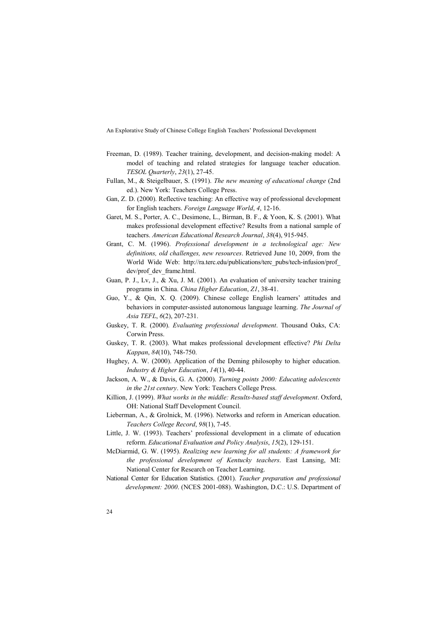- Freeman, D. (1989). Teacher training, development, and decision-making model: A model of teaching and related strategies for language teacher education. *TESOL Quarterly*, *23*(1), 27-45.
- Fullan, M., & Steigelbauer, S. (1991). *The new meaning of educational change* (2nd ed.). New York: Teachers College Press.
- Gan, Z. D. (2000). Reflective teaching: An effective way of professional development for English teachers. *Foreign Language World*, *4*, 12-16.
- Garet, M. S., Porter, A. C., Desimone, L., Birman, B. F., & Yoon, K. S. (2001). What makes professional development effective? Results from a national sample of teachers. *American Educational Research Journal*, *38*(4), 915-945.
- Grant, C. M. (1996). *Professional development in a technological age: New definitions, old challenges, new resources*. Retrieved June 10, 2009, from the World Wide Web: http://ra.terc.edu/publications/terc\_pubs/tech-infusion/prof dev/prof\_dev\_frame.html.
- Guan, P. J., Lv, J., & Xu, J. M. (2001). An evaluation of university teacher training programs in China. *China Higher Education*, *Z1*, 38-41.
- Guo, Y., & Qin, X. Q. (2009). Chinese college English learners' attitudes and behaviors in computer-assisted autonomous language learning. *The Journal of Asia TEFL*, *6*(2), 207-231.
- Guskey, T. R. (2000). *Evaluating professional development*. Thousand Oaks, CA: Corwin Press.
- Guskey, T. R. (2003). What makes professional development effective? *Phi Delta Kappan*, *84*(10), 748-750.
- Hughey, A. W. (2000). Application of the Deming philosophy to higher education. *Industry & Higher Education*, *14*(1), 40-44.
- Jackson, A. W., & Davis, G. A. (2000). *Turning points 2000: Educating adolescents in the 21st century*. New York: Teachers College Press.
- Killion, J. (1999). *What works in the middle: Results-based staff development*. Oxford, OH: National Staff Development Council.
- Lieberman, A., & Grolnick, M. (1996). Networks and reform in American education. *Teachers College Record*, *98*(1), 7-45.
- Little, J. W. (1993). Teachers' professional development in a climate of education reform. *Educational Evaluation and Policy Analysis*, *15*(2), 129-151.
- McDiarmid, G. W. (1995). *Realizing new learning for all students: A framework for the professional development of Kentucky teachers*. East Lansing, MI: National Center for Research on Teacher Learning.
- National Center for Education Statistics. (2001). *Teacher preparation and professional development: 2000*. (NCES 2001-088). Washington, D.C.: U.S. Department of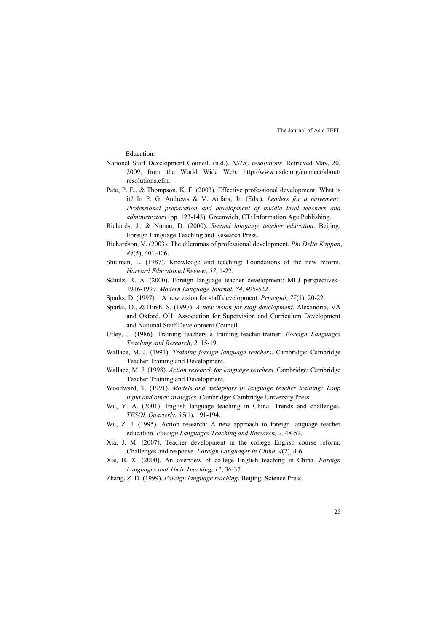Education.

- National Staff Development Council. (n.d.). *NSDC resolutions*. Retrieved May, 20, 2009, from the World Wide Web: http://www.nsdc.org/connect/about/ resolutions.cfm.
- Pate, P. E., & Thompson, K. F. (2003). Effective professional development: What is it? In P. G. Andrews & V. Anfara, Jr. (Eds.), *Leaders for a movement: Professional preparation and development of middle level teachers and administrators* (pp. 123-143). Greenwich, CT: Information Age Publishing.
- Richards, J., & Nunan, D. (2000). *Second language teacher education*. Beijing: Foreign Language Teaching and Research Press.
- Richardson, V. (2003). The dilemmas of professional development. *Phi Delta Kappan*, *84*(5), 401-406.
- Shulman, L. (1987). Knowledge and teaching: Foundations of the new reform. *Harvard Educational Review*, *57*, 1-22.
- Schulz, R. A. (2000). Foreign language teacher development: MLJ perspectives– 1916-1999. *Modern Language Journal, 84*, 495-522.
- Sparks, D. (1997). A new vision for staff development. *Principal*, *77*(1), 20-22.
- Sparks, D., & Hirsh, S. (1997). *A new vision for staff development*. Alexandria, VA and Oxford, OH: Association for Supervision and Curriculum Development and National Staff Development Council.
- Utley, J. (1986). Training teachers a training teacher-trainer. *Foreign Languages Teaching and Research*, *2*, 15-19.
- Wallace, M. J. (1991). *Training foreign language teachers*. Cambridge: Cambridge Teacher Training and Development.
- Wallace, M. J. (1998). *Action research for language teachers*. Cambridge: Cambridge Teacher Training and Development.
- Woodward, T. (1991). *Models and metaphors in language teacher training: Loop input and other strategies*. Cambridge: Cambridge University Press.
- Wu, Y. A. (2001). English language teaching in China: Trends and challenges. *TESOL Quarterly*, *35*(1), 191-194.
- Wu, Z. J. (1995). Action research: A new approach to foreign language teacher education. *Foreign Languages Teaching and Research, 2,* 48-52.
- Xia, J. M. (2007). Teacher development in the college English course reform: Challenges and response. *Foreign Languages in China*, *4*(2), 4-6.
- Xie, B. X. (2000). An overview of college English teaching in China. *Foreign Languages and Their Teaching, 12*, 36-37.
- Zhang, Z. D. (1999). *Foreign language teaching*. Beijing: Science Press.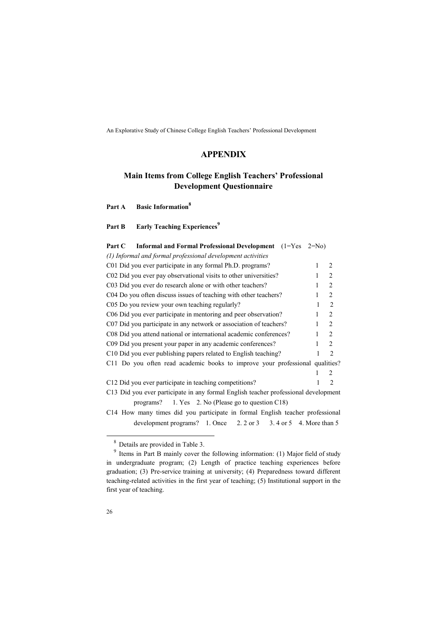# **APPEDIX**

# **Main Items from College English Teachers' Professional Development Questionnaire**

| <b>Basic Information</b> <sup>8</sup><br>Part A |  |
|-------------------------------------------------|--|
|-------------------------------------------------|--|

Part B Early Teaching Experiences<sup>9</sup>

| Part C | Informal and Formal Professional Development $(1=Yes \quad 2=No)$                   |   |                               |
|--------|-------------------------------------------------------------------------------------|---|-------------------------------|
|        | (1) Informal and formal professional development activities                         |   |                               |
|        | C01 Did you ever participate in any formal Ph.D. programs?                          |   | 2                             |
|        | C02 Did you ever pay observational visits to other universities?                    |   | $\mathfrak{D}$                |
|        | C03 Did you ever do research alone or with other teachers?                          |   | 2                             |
|        | C04 Do you often discuss issues of teaching with other teachers?                    |   | $\mathfrak{D}$                |
|        | C05 Do you review your own teaching regularly?                                      | 1 | $\overline{2}$                |
|        | C06 Did you ever participate in mentoring and peer observation?                     |   | $\overline{2}$                |
|        | C07 Did you participate in any network or association of teachers?                  |   | 2                             |
|        | C08 Did you attend national or international academic conferences?                  |   | 2                             |
|        | C09 Did you present your paper in any academic conferences?                         |   | $\mathfrak{D}$                |
|        | C10 Did you ever publishing papers related to English teaching?                     |   | $\mathfrak{D}$                |
|        | C11 Do you often read academic books to improve your professional qualities?        |   |                               |
|        |                                                                                     |   | $\mathfrak{D}_{\mathfrak{p}}$ |
|        | C12 Did you ever participate in teaching competitions?                              |   | $\mathfrak{D}_{\mathfrak{p}}$ |
|        | C13 Did you ever participate in any formal English teacher professional development |   |                               |
|        | programs? $1.$ Yes $2.$ No (Please go to question C18)                              |   |                               |
|        |                                                                                     |   |                               |

C14 How many times did you participate in formal English teacher professional development programs?  $1.$  Once  $2.2$  or  $3.3$   $3.4$  or  $5.4$ . More than  $5.4$ 

-

<sup>8</sup> Details are provided in Table 3.

<sup>&</sup>lt;sup>9</sup> Items in Part B mainly cover the following information: (1) Major field of study in undergraduate program; (2) Length of practice teaching experiences before graduation; (3) Pre-service training at university; (4) Preparedness toward different teaching-related activities in the first year of teaching; (5) Institutional support in the first year of teaching.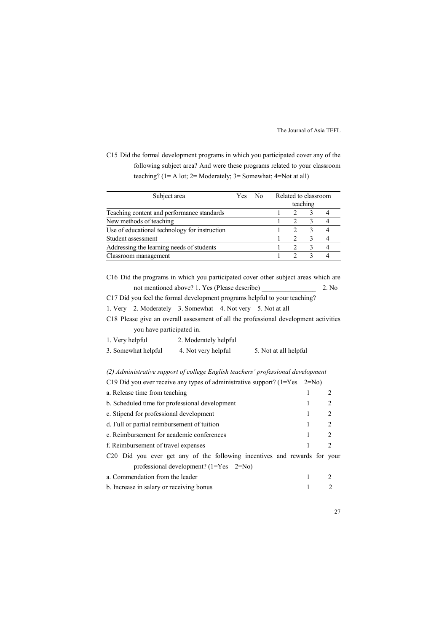C15 Did the formal development programs in which you participated cover any of the following subject area? And were these programs related to your classroom teaching? (1= A lot; 2= Moderately; 3= Somewhat; 4=Not at all)

| Subject area                                  | Yes No |  | Related to classroom |          |  |
|-----------------------------------------------|--------|--|----------------------|----------|--|
|                                               |        |  |                      | teaching |  |
| Teaching content and performance standards    |        |  | $\mathcal{D}$        |          |  |
| New methods of teaching                       |        |  | 2                    |          |  |
| Use of educational technology for instruction |        |  |                      |          |  |
| Student assessment                            |        |  | 2                    |          |  |
| Addressing the learning needs of students     |        |  |                      |          |  |
| Classroom management                          |        |  |                      |          |  |

C16 Did the programs in which you participated cover other subject areas which are not mentioned above? 1. Yes (Please describe) \_\_\_\_\_\_\_\_\_\_\_\_\_\_\_\_ 2. No

C17 Did you feel the formal development programs helpful to your teaching?

1. Very 2. Moderately 3. Somewhat 4. Not very 5. Not at all

C18 Please give an overall assessment of all the professional development activities you have participated in.

| 1. Very helpful     | 2. Moderately helpful |                       |
|---------------------|-----------------------|-----------------------|
| 3. Somewhat helpful | 4. Not very helpful   | 5. Not at all helpful |

*(2) Administrative support of college English teachers' professional development* 

| C19 Did you ever receive any types of administrative support? $(1 = Yes \ 2 = No)$    |   |                               |
|---------------------------------------------------------------------------------------|---|-------------------------------|
| a. Release time from teaching                                                         |   | 2                             |
| b. Scheduled time for professional development                                        |   |                               |
| c. Stipend for professional development                                               |   | 2                             |
| d. Full or partial reimbursement of tuition                                           | 1 | 2                             |
| e. Reimbursement for academic conferences                                             |   | 2                             |
| f. Reimbursement of travel expenses                                                   |   | $\mathfrak{D}_{\mathfrak{p}}$ |
| C <sub>20</sub> Did you ever get any of the following incentives and rewards for your |   |                               |
| professional development? $(1=Yes \quad 2=N_0)$                                       |   |                               |
| a. Commendation from the leader                                                       |   |                               |
| b. Increase in salary or receiving bonus                                              |   |                               |